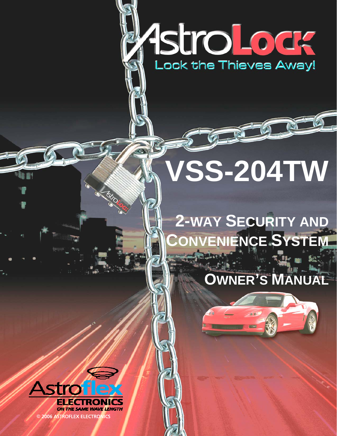# AstroLoda<br>Lock the Thieves Away!

# **VSS-204TW**

# **2-WAY SECURITY AND CONVENIENCE SYSTEM**

# **OWNER'S MANUAL**

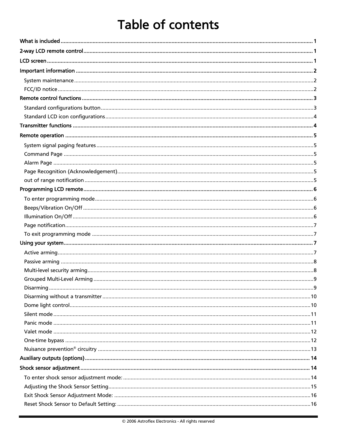# Table of contents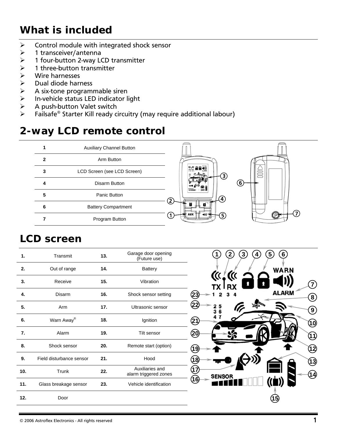# <span id="page-3-0"></span>*What is included*

- $\triangleright$  Control module with integrated shock sensor
- ¾ 1 transceiver/antenna
- ¾ 1 four-button 2-way LCD transmitter
- $\geq 1$  three-button transmitter
- $\triangleright$  Wire harnesses
- ¾ Dual diode harness
- ¾ A six-tone programmable siren
- $\triangleright$  In-vehicle status LED indicator light<br> $\triangleright$  A push-button Valet switch
- $\triangleright$  A push-button Valet switch<br>  $\triangleright$  Failsafe® Starter Kill ready c
- Failsafe<sup>®</sup> Starter Kill ready circuitry (may require additional labour)

#### *2-way LCD remote control*

|   | <b>Auxiliary Channel Button</b> |                                                             |
|---|---------------------------------|-------------------------------------------------------------|
| 2 | Arm Button                      |                                                             |
| 3 | LCD Screen (see LCD Screen)     | $\left[\frac{\alpha}{r} \right]_{rx}^{\alpha}$ a a 41)<br>3 |
| 4 | Disarm Button                   | $6\phantom{a}6$                                             |
| 5 | Panic Button                    | SLMOR <sub>es</sub><br>4<br>.2                              |
| 6 | <b>Battery Compartment</b>      |                                                             |
|   | Program Button                  | Ш¥<br>5                                                     |

#### *LCD screen*

| $\mathbf{1}$ . | Transmit                 | 13. | Garage door opening<br>(Future use)      |
|----------------|--------------------------|-----|------------------------------------------|
| 2.             | Out of range             | 14. | <b>Battery</b>                           |
| 3.             | Receive                  | 15. | Vibration                                |
| 4.             | Disarm                   | 16. | Shock sensor setting                     |
| 5.             | Arm                      | 17. | Ultrasonic sensor                        |
| 6.             | Warn Away®               | 18. | Ignition                                 |
| 7.             | Alarm                    | 19. | Tilt sensor                              |
| 8.             | Shock sensor             | 20. | Remote start (option)                    |
| 9.             | Field disturbance sensor | 21. | Hood                                     |
| 10.            | Trunk                    | 22. | Auxiliaries and<br>alarm triggered zones |
| 11.            | Glass breakage sensor    | 23. | Vehicle identification                   |
| 12.            | Door                     |     |                                          |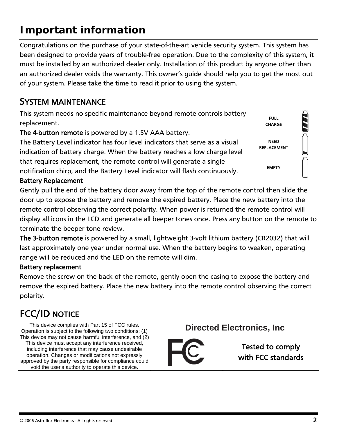# <span id="page-4-0"></span>*Important information*

Congratulations on the purchase of your state-of-the-art vehicle security system. This system has been designed to provide years of trouble-free operation. Due to the complexity of this system, it must be installed by an authorized dealer only. Installation of this product by anyone other than an authorized dealer voids the warranty. This owner's guide should help you to get the most out of your system. Please take the time to read it prior to using the system.

#### SYSTEM MAINTENANCE

This system needs no specific maintenance beyond remote controls battery replacement.

The 4-button remote is powered by a 1.5V AAA battery.

The Battery Level indicator has four level indicators that serve as a visual indication of battery charge. When the battery reaches a low charge level that requires replacement, the remote control will generate a single notification chirp, and the Battery Level indicator will flash continuously.

Battery Replacement

Gently pull the end of the battery door away from the top of the remote control then slide the door up to expose the battery and remove the expired battery. Place the new battery into the remote control observing the correct polarity. When power is returned the remote control will display all icons in the LCD and generate all beeper tones once. Press any button on the remote to terminate the beeper tone review.

The 3-button remote is powered by a small, lightweight 3-volt lithium battery (CR2032) that will last approximately one year under normal use. When the battery begins to weaken, operating range will be reduced and the LED on the remote will dim.

#### Battery replacement

Remove the screw on the back of the remote, gently open the casing to expose the battery and remove the expired battery. Place the new battery into the remote control observing the correct polarity.

#### FCC/ID NOTICE

This device complies with Part 15 of FCC rules.<br>**Directed Electronics, Inc.** Operation is subject to the following two conditions: (1) This device may not cause harmful interference, and (2) This device must accept any interference received, including interference that may cause undesirable operation. Changes or modifications not expressly approved by the party responsible for compliance could void the user's authority to operate this device.



Tested to comply with FCC standards



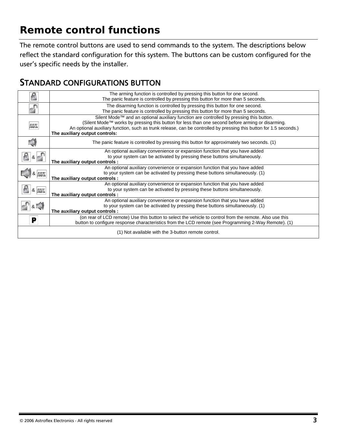# <span id="page-5-0"></span>*Remote control functions*

The remote control buttons are used to send commands to the system. The descriptions below reflect the standard configuration for this system. The buttons can be custom configured for the user's specific needs by the installer.

#### STANDARD CONFIGURATIONS BUTTON

|                                 | The arming function is controlled by pressing this button for one second.                                          |  |
|---------------------------------|--------------------------------------------------------------------------------------------------------------------|--|
|                                 | The panic feature is controlled by pressing this button for more than 5 seconds.                                   |  |
|                                 | The disarming function is controlled by pressing this button for one second.                                       |  |
|                                 | The panic feature is controlled by pressing this button for more than 5 seconds.                                   |  |
|                                 | Silent Mode™ and an optional auxiliary function are controlled by pressing this button.                            |  |
|                                 | (Silent Mode™ works by pressing this button for less than one second before arming or disarming.                   |  |
| aux                             | An optional auxiliary function, such as trunk release, can be controlled by pressing this button for 1.5 seconds.) |  |
|                                 | The auxiliary output controls:                                                                                     |  |
|                                 | The panic feature is controlled by pressing this button for approximately two seconds. (1)                         |  |
|                                 |                                                                                                                    |  |
|                                 | An optional auxiliary convenience or expansion function that you have added                                        |  |
| $8 \parallel$                   | to your system can be activated by pressing these buttons simultaneously.                                          |  |
|                                 | The auxiliary output controls :                                                                                    |  |
|                                 | An optional auxiliary convenience or expansion function that you have added                                        |  |
|                                 | to your system can be activated by pressing these buttons simultaneously. (1)                                      |  |
| The auxiliary output controls : |                                                                                                                    |  |
|                                 | An optional auxiliary convenience or expansion function that you have added                                        |  |
| <b>&amp; AUX</b>                | to your system can be activated by pressing these buttons simultaneously.                                          |  |
|                                 | The auxiliary output controls :                                                                                    |  |
|                                 | An optional auxiliary convenience or expansion function that you have added                                        |  |
|                                 | to your system can be activated by pressing these buttons simultaneously. (1)                                      |  |
|                                 | The auxiliary output controls :                                                                                    |  |
| Р                               | (on rear of LCD remote) Use this button to select the vehicle to control from the remote. Also use this            |  |
|                                 | button to configure response characteristics from the LCD remote (see Programming 2-Way Remote). (1)               |  |
|                                 |                                                                                                                    |  |
|                                 | (1) Not available with the 3-button remote control.                                                                |  |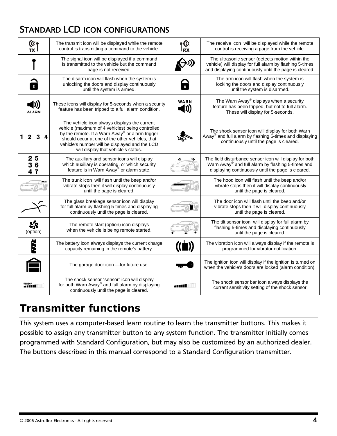# <span id="page-6-0"></span>STANDARD LCD ICON CONFIGURATIONS

| $\frac{(\kappa_{\text{f}})}{T}$ | The transmit icon will be displayed while the remote<br>control is transmitting a command to the vehicle.                                                                                                                                                                                                   | $\int_{\mathsf{R}X}^{(k)}$ |                                                                                                                                                                        |
|---------------------------------|-------------------------------------------------------------------------------------------------------------------------------------------------------------------------------------------------------------------------------------------------------------------------------------------------------------|----------------------------|------------------------------------------------------------------------------------------------------------------------------------------------------------------------|
|                                 | The signal icon will be displayed if a command<br>is transmitted to the vehicle but the command<br>page is not received.                                                                                                                                                                                    |                            | The ultrasonic sensor (detects motion within the<br>vehicle) will display for full alarm by flashing 5-times<br>and displaying continuously until the page is cleared. |
| $\mathbf{r}$                    | The disarm icon will flash when the system is<br>unlocking the doors and display continuously<br>until the system is armed.                                                                                                                                                                                 |                            | The arm icon will flash when the system is<br>locking the doors and display continuously<br>until the system is disarmed.                                              |
| <b>ALARM</b>                    | These icons will display for 5-seconds when a security<br>feature has been tripped to a full alarm condition.                                                                                                                                                                                               | WARN                       | The Warn Away <sup>®</sup> displays when a security<br>feature has been tripped, but not to full alarm.<br>These will display for 5-seconds.                           |
|                                 | The vehicle icon always displays the current<br>vehicle (maximum of 4 vehicles) being controlled<br>by the remote. If a Warn Away <sup>®</sup> or alarm trigger<br>should occur at one of the other vehicles, that<br>vehicle's number will be displayed and the LCD<br>will display that vehicle's status. |                            | The shock sensor icon will display for both Warn<br>Away <sup>®</sup> and full alarm by flashing 5-times and displaying<br>continuously until the page is cleared.     |
| 25<br>36<br>47                  | The auxiliary and sensor icons will display<br>which auxiliary is operating, or which security<br>feature is in Warn Away <sup>®</sup> or alarm state.                                                                                                                                                      |                            | The field disturbance sensor icon will display for both<br>Warn Away® and full alarm by flashing 5-times and<br>displaying continuously until the page is cleared.     |
|                                 | The trunk icon will flash until the beep and/or<br>vibrate stops then it will display continuously<br>until the page is cleared.                                                                                                                                                                            |                            | The hood icon will flash until the beep and/or<br>vibrate stops then it will display continuously<br>until the page is cleared.                                        |
|                                 | The glass breakage sensor icon will display<br>for full alarm by flashing 5-times and displaying<br>continuously until the page is cleared.                                                                                                                                                                 |                            | The door icon will flash until the beep and/or<br>vibrate stops then it will display continuously<br>until the page is cleared.                                        |
| (option)                        | The remote start (option) icon displays<br>when the vehicle is being remote started.                                                                                                                                                                                                                        |                            | The tilt sensor icon will display for full alarm by<br>flashing 5-times and displaying continuously<br>until the page is cleared.                                      |
| ,,,,,                           | The battery icon always displays the current charge<br>capacity remaining in the remote's battery.                                                                                                                                                                                                          |                            | The vibration icon will always display if the remote is<br>programmed for vibrator notification.                                                                       |
|                                 | The garage door icon -for future use.                                                                                                                                                                                                                                                                       |                            | The ignition icon will display if the ignition is turned on<br>when the vehicle's doors are locked (alarm condition).                                                  |
| SENSOR<br><b>MELLEL</b>         | The shock sensor "sensor" icon will display<br>for both Warn Away <sup>®</sup> and full alarm by displaying<br>continuously until the page is cleared.                                                                                                                                                      | -11111                     | The shock sensor bar icon always displays the<br>current sensitivity setting of the shock sensor.                                                                      |

# *Transmitter functions*

This system uses a computer-based learn routine to learn the transmitter buttons. This makes it possible to assign any transmitter button to any system function. The transmitter initially comes programmed with Standard Configuration, but may also be customized by an authorized dealer. The buttons described in this manual correspond to a Standard Configuration transmitter.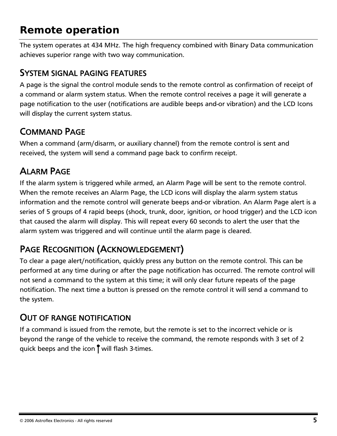# <span id="page-7-0"></span>*Remote operation*

The system operates at 434 MHz. The high frequency combined with Binary Data communication achieves superior range with two way communication.

#### SYSTEM SIGNAL PAGING FEATURES

A page is the signal the control module sends to the remote control as confirmation of receipt of a command or alarm system status. When the remote control receives a page it will generate a page notification to the user (notifications are audible beeps and-or vibration) and the LCD Icons will display the current system status.

#### COMMAND PAGE

When a command (arm/disarm, or auxiliary channel) from the remote control is sent and received, the system will send a command page back to confirm receipt.

### ALARM PAGE

If the alarm system is triggered while armed, an Alarm Page will be sent to the remote control. When the remote receives an Alarm Page, the LCD icons will display the alarm system status information and the remote control will generate beeps and-or vibration. An Alarm Page alert is a series of 5 groups of 4 rapid beeps (shock, trunk, door, ignition, or hood trigger) and the LCD icon that caused the alarm will display. This will repeat every 60 seconds to alert the user that the alarm system was triggered and will continue until the alarm page is cleared.

#### PAGE RECOGNITION (ACKNOWLEDGEMENT)

To clear a page alert/notification, quickly press any button on the remote control. This can be performed at any time during or after the page notification has occurred. The remote control will not send a command to the system at this time; it will only clear future repeats of the page notification. The next time a button is pressed on the remote control it will send a command to the system.

#### OUT OF RANGE NOTIFICATION

If a command is issued from the remote, but the remote is set to the incorrect vehicle or is beyond the range of the vehicle to receive the command, the remote responds with 3 set of 2 quick beeps and the icon  $\int$  will flash 3-times.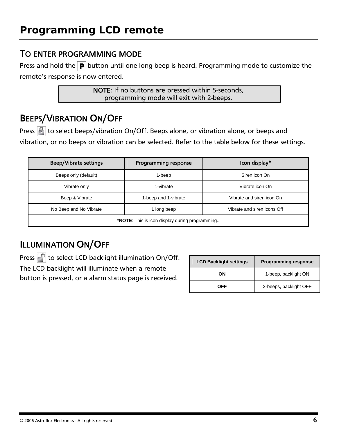#### <span id="page-8-0"></span>TO ENTER PROGRAMMING MODE

Press and hold the  $\boxed{\mathbf{P}}$  button until one long beep is heard. Programming mode to customize the remote's response is now entered.

> NOTE: If no buttons are pressed within 5-seconds, programming mode will exit with 2-beeps.

#### BEEPS/VIBRATION ON/OFF

Press  $\mathbb{R}$  to select beeps/vibration On/Off. Beeps alone, or vibration alone, or beeps and vibration, or no beeps or vibration can be selected. Refer to the table below for these settings.

| <b>Beep/Vibrate settings</b>                            | <b>Programming response</b> | Icon display*               |
|---------------------------------------------------------|-----------------------------|-----------------------------|
| Beeps only (default)                                    | 1-beep                      | Siren icon On               |
| Vibrate only                                            | 1-vibrate                   | Vibrate icon On             |
| Beep & Vibrate                                          | 1-beep and 1-vibrate        | Vibrate and siren icon On   |
| No Beep and No Vibrate                                  | 1 long beep                 | Vibrate and siren icons Off |
| * <b>NOTE</b> : This is icon display during programming |                             |                             |

# ILLUMINATION ON/OFF

Press  $\epsilon$  to select LCD backlight illumination On/Off.

The LCD backlight will illuminate when a remote

button is pressed, or a alarm status page is received.

| <b>LCD Backlight settings</b> | <b>Programming response</b> |  |
|-------------------------------|-----------------------------|--|
| OΝ                            | 1-beep, backlight ON        |  |
| OFF                           | 2-beeps, backlight OFF      |  |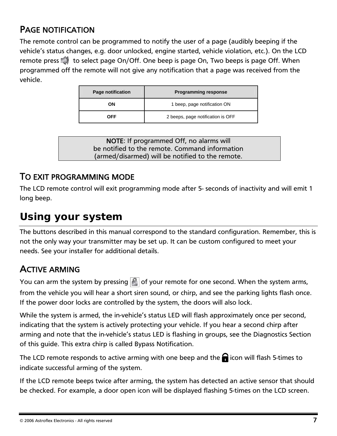#### <span id="page-9-0"></span>PAGE NOTIFICATION

The remote control can be programmed to notify the user of a page (audibly beeping if the vehicle's status changes, e.g. door unlocked, engine started, vehicle violation, etc.). On the LCD remote press  $\Box$  to select page On/Off. One beep is page On, Two beeps is page Off. When programmed off the remote will not give any notification that a page was received from the vehicle.

| Page notification | <b>Programming response</b>       |  |
|-------------------|-----------------------------------|--|
| OΝ                | 1 beep, page notification ON      |  |
| OFF               | 2 beeps, page notification is OFF |  |

NOTE: If programmed Off, no alarms will be notified to the remote. Command information (armed/disarmed) will be notified to the remote.

#### TO EXIT PROGRAMMING MODE

The LCD remote control will exit programming mode after 5- seconds of inactivity and will emit 1 long beep.

# *Using your system*

The buttons described in this manual correspond to the standard configuration. Remember, this is not the only way your transmitter may be set up. It can be custom configured to meet your needs. See your installer for additional details.

#### ACTIVE ARMING

You can arm the system by pressing  $\left|\mathbf{E}\right|$  of your remote for one second. When the system arms, from the vehicle you will hear a short siren sound, or chirp, and see the parking lights flash once. If the power door locks are controlled by the system, the doors will also lock.

While the system is armed, the in-vehicle's status LED will flash approximately once per second, indicating that the system is actively protecting your vehicle. If you hear a second chirp after arming and note that the in-vehicle's status LED is flashing in groups, see the Diagnostics Section of this guide. This extra chirp is called Bypass Notification.

The LCD remote responds to active arming with one beep and the  $\bigcap$  icon will flash 5-times to indicate successful arming of the system.

If the LCD remote beeps twice after arming, the system has detected an active sensor that should be checked. For example, a door open icon will be displayed flashing 5-times on the LCD screen.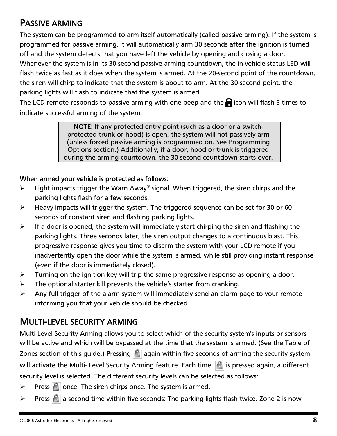#### <span id="page-10-0"></span>PASSIVE ARMING

The system can be programmed to arm itself automatically (called passive arming). If the system is programmed for passive arming, it will automatically arm 30 seconds after the ignition is turned off and the system detects that you have left the vehicle by opening and closing a door. Whenever the system is in its 30-second passive arming countdown, the in-vehicle status LED will flash twice as fast as it does when the system is armed. At the 20-second point of the countdown, the siren will chirp to indicate that the system is about to arm. At the 30-second point, the parking lights will flash to indicate that the system is armed.

The LCD remote responds to passive arming with one beep and the  $\bigcap$  icon will flash 3-times to indicate successful arming of the system.

> NOTE: If any protected entry point (such as a door or a switchprotected trunk or hood) is open, the system will not passively arm (unless forced passive arming is programmed on. See Programming Options section.) Additionally, if a door, hood or trunk is triggered during the arming countdown, the 30-second countdown starts over.

#### When armed your vehicle is protected as follows:

- $\triangleright$  Light impacts trigger the Warn Away<sup>®</sup> signal. When triggered, the siren chirps and the parking lights flash for a few seconds.
- $\blacktriangleright$  Heavy impacts will trigger the system. The triggered sequence can be set for 30 or 60 seconds of constant siren and flashing parking lights.
- $\triangleright$  If a door is opened, the system will immediately start chirping the siren and flashing the parking lights. Three seconds later, the siren output changes to a continuous blast. This progressive response gives you time to disarm the system with your LCD remote if you inadvertently open the door while the system is armed, while still providing instant response (even if the door is immediately closed).
- $\triangleright$  Turning on the ignition key will trip the same progressive response as opening a door.
- $\triangleright$  The optional starter kill prevents the vehicle's starter from cranking.
- $\triangleright$  Any full trigger of the alarm system will immediately send an alarm page to your remote informing you that your vehicle should be checked.

#### MULTI-LEVEL SECURITY ARMING

Multi-Level Security Arming allows you to select which of the security system's inputs or sensors will be active and which will be bypassed at the time that the system is armed. (See the Table of Zones section of this guide.) Pressing  $\|\cdot\|$  again within five seconds of arming the security system will activate the Multi- Level Security Arming feature. Each time  $\|\cdot\|$  is pressed again, a different security level is selected. The different security levels can be selected as follows:

 $\triangleright$  Press  $\lvert \cdot \rvert$  once: The siren chirps once. The system is armed.

 $\triangleright$  Press  $\blacksquare$  a second time within five seconds: The parking lights flash twice. Zone 2 is now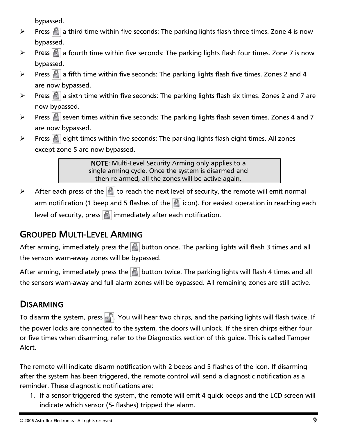bypassed.

- <span id="page-11-0"></span> $\triangleright$  Press  $\lvert \cdot \rvert$  a third time within five seconds: The parking lights flash three times. Zone 4 is now bypassed.
- $\triangleright$  Press  $\lfloor \frac{1}{2} \rfloor$  a fourth time within five seconds: The parking lights flash four times. Zone 7 is now bypassed.
- $\triangleright$  Press  $\lvert \cdot \rvert$  a fifth time within five seconds: The parking lights flash five times. Zones 2 and 4 are now bypassed.
- $\triangleright$  Press  $\lfloor \frac{n}{2} \rfloor$  a sixth time within five seconds: The parking lights flash six times. Zones 2 and 7 are now bypassed.
- $\triangleright$  Press  $\lvert \cdot \rvert$  seven times within five seconds: The parking lights flash seven times. Zones 4 and 7 are now bypassed.
- $\triangleright$  Press **E** eight times within five seconds: The parking lights flash eight times. All zones except zone 5 are now bypassed.

NOTE: Multi-Level Security Arming only applies to a single arming cycle. Once the system is disarmed and then re-armed, all the zones will be active again.

 $\triangleright$  After each press of the  $\lvert \cdot \rvert$  to reach the next level of security, the remote will emit normal arm notification (1 beep and 5 flashes of the  $\vert \cdot \vert$  icon). For easiest operation in reaching each level of security, press  $\left|\mathbf{s}\right|$  immediately after each notification.

#### GROUPED MULTI-LEVEL ARMING

After arming, immediately press the  $|\cdot|$  button once. The parking lights will flash 3 times and all the sensors warn-away zones will be bypassed.

After arming, immediately press the  $|\cdot|$  button twice. The parking lights will flash 4 times and all the sensors warn-away and full alarm zones will be bypassed. All remaining zones are still active.

#### **DISARMING**

To disarm the system, press . You will hear two chirps, and the parking lights will flash twice. If the power locks are connected to the system, the doors will unlock. If the siren chirps either four or five times when disarming, refer to the Diagnostics section of this guide. This is called Tamper Alert.

The remote will indicate disarm notification with 2 beeps and 5 flashes of the icon. If disarming after the system has been triggered, the remote control will send a diagnostic notification as a reminder. These diagnostic notifications are:

1. If a sensor triggered the system, the remote will emit 4 quick beeps and the LCD screen will indicate which sensor (5- flashes) tripped the alarm.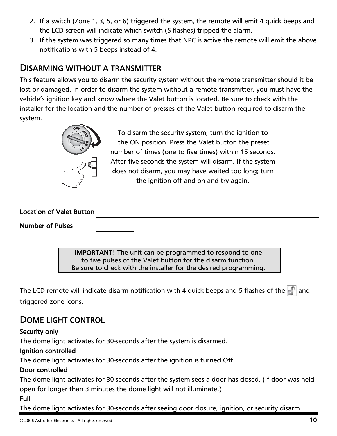- <span id="page-12-0"></span>2. If a switch (Zone 1, 3, 5, or 6) triggered the system, the remote will emit 4 quick beeps and the LCD screen will indicate which switch (5-flashes) tripped the alarm.
- 3. If the system was triggered so many times that NPC is active the remote will emit the above notifications with 5 beeps instead of 4.

#### DISARMING WITHOUT A TRANSMITTER

This feature allows you to disarm the security system without the remote transmitter should it be lost or damaged. In order to disarm the system without a remote transmitter, you must have the vehicle's ignition key and know where the Valet button is located. Be sure to check with the installer for the location and the number of presses of the Valet button required to disarm the system.



To disarm the security system, turn the ignition to the ON position. Press the Valet button the preset number of times (one to five times) within 15 seconds. After five seconds the system will disarm. If the system does not disarm, you may have waited too long; turn the ignition off and on and try again.

#### Location of Valet Button

Number of Pulses

IMPORTANT! The unit can be programmed to respond to one to five pulses of the Valet button for the disarm function. Be sure to check with the installer for the desired programming.

The LCD remote will indicate disarm notification with 4 quick beeps and 5 flashes of the  $\blacksquare$  and triggered zone icons.

#### DOME LIGHT CONTROL

#### Security only

The dome light activates for 30-seconds after the system is disarmed.

#### Ignition controlled

The dome light activates for 30-seconds after the ignition is turned Off.

#### Door controlled

The dome light activates for 30-seconds after the system sees a door has closed. (If door was held open for longer than 3 minutes the dome light will not illuminate.)

#### Full

The dome light activates for 30-seconds after seeing door closure, ignition, or security disarm.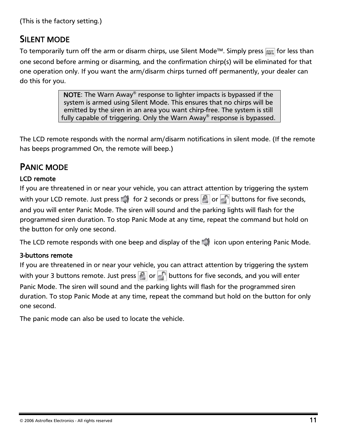```
(This is the factory setting.)
```
#### SILENT MODE

To temporarily turn off the arm or disarm chirps, use Silent Mode™. Simply press *MAX* for less than one second before arming or disarming, and the confirmation chirp(s) will be eliminated for that one operation only. If you want the arm/disarm chirps turned off permanently, your dealer can do this for you.

> **NOTE:** The Warn Away<sup>®</sup> response to lighter impacts is bypassed if the system is armed using Silent Mode. This ensures that no chirps will be emitted by the siren in an area you want chirp-free. The system is still fully capable of triggering. Only the Warn Away® response is bypassed.

The LCD remote responds with the normal arm/disarm notifications in silent mode. (If the remote has beeps programmed On, the remote will beep.)

#### PANIC MODE

#### LCD remote

If you are threatened in or near your vehicle, you can attract attention by triggering the system with your LCD remote. Just press  $\Box$  for 2 seconds or press  $\Box$  or  $\Box$  buttons for five seconds, and you will enter Panic Mode. The siren will sound and the parking lights will flash for the programmed siren duration. To stop Panic Mode at any time, repeat the command but hold on the button for only one second.

The LCD remote responds with one beep and display of the  $\Box$  icon upon entering Panic Mode.

#### 3-buttons remote

If you are threatened in or near your vehicle, you can attract attention by triggering the system with your 3 buttons remote. Just press  $\left| \cdot \right|$  or  $\left| \cdot \right|$  buttons for five seconds, and you will enter Panic Mode. The siren will sound and the parking lights will flash for the programmed siren duration. To stop Panic Mode at any time, repeat the command but hold on the button for only one second.

The panic mode can also be used to locate the vehicle.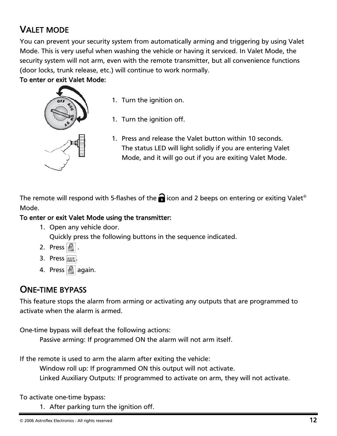# <span id="page-14-0"></span>VALET MODE

You can prevent your security system from automatically arming and triggering by using Valet Mode. This is very useful when washing the vehicle or having it serviced. In Valet Mode, the security system will not arm, even with the remote transmitter, but all convenience functions (door locks, trunk release, etc.) will continue to work normally.

#### To enter or exit Valet Mode:



- 1. Turn the ignition on.
- 1. Turn the ignition off.
- 1. Press and release the Valet button within 10 seconds. The status LED will light solidly if you are entering Valet Mode, and it will go out if you are exiting Valet Mode.

The remote will respond with 5-flashes of the  $\bigcap$  icon and 2 beeps on entering or exiting Valet® Mode.

#### To enter or exit Valet Mode using the transmitter:

- 1. Open any vehicle door. Quickly press the following buttons in the sequence indicated.
- 2. Press  $\left|\mathbb{R}\right|$ .
- 3. Press **AUX**
- 4. Press  $\mathbb{R}$  again.

#### ONE-TIME BYPASS

This feature stops the alarm from arming or activating any outputs that are programmed to activate when the alarm is armed.

One-time bypass will defeat the following actions:

Passive arming: If programmed ON the alarm will not arm itself.

If the remote is used to arm the alarm after exiting the vehicle:

Window roll up: If programmed ON this output will not activate.

Linked Auxiliary Outputs: If programmed to activate on arm, they will not activate.

To activate one-time bypass:

1. After parking turn the ignition off.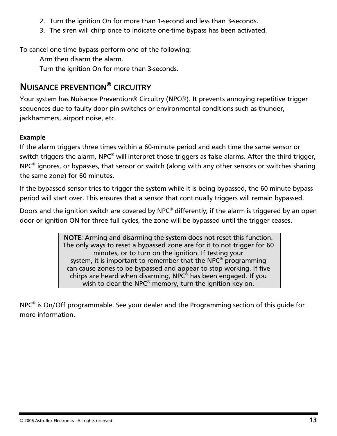- <span id="page-15-0"></span>2. Turn the ignition On for more than 1-second and less than 3-seconds.
- 3. The siren will chirp once to indicate one-time bypass has been activated.

To cancel one-time bypass perform one of the following:

Arm then disarm the alarm.

Turn the ignition On for more than 3-seconds.

### NUISANCE PREVENTION® CIRCUITRY

Your system has Nuisance Prevention® Circuitry (NPC®). It prevents annoying repetitive trigger sequences due to faulty door pin switches or environmental conditions such as thunder, jackhammers, airport noise, etc.

#### Example

If the alarm triggers three times within a 60-minute period and each time the same sensor or switch triggers the alarm, NPC<sup>®</sup> will interpret those triggers as false alarms. After the third trigger, NPC<sup>®</sup> ignores, or bypasses, that sensor or switch (along with any other sensors or switches sharing the same zone) for 60 minutes.

If the bypassed sensor tries to trigger the system while it is being bypassed, the 60-minute bypass period will start over. This ensures that a sensor that continually triggers will remain bypassed.

Doors and the ignition switch are covered by NPC® differently; if the alarm is triggered by an open door or ignition ON for three full cycles, the zone will be bypassed until the trigger ceases.

> NOTE: Arming and disarming the system does not reset this function. The only ways to reset a bypassed zone are for it to not trigger for 60 minutes, or to turn on the ignition. If testing your system, it is important to remember that the NPC<sup>®</sup> programming can cause zones to be bypassed and appear to stop working. If five chirps are heard when disarming, NPC® has been engaged. If you wish to clear the NPC<sup>®</sup> memory, turn the ignition key on.

NPC® is On/Off programmable. See your dealer and the Programming section of this guide for more information.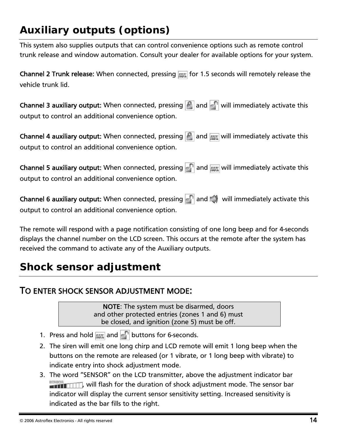# <span id="page-16-0"></span>*Auxiliary outputs (options)*

This system also supplies outputs that can control convenience options such as remote control trunk release and window automation. Consult your dealer for available options for your system.

Channel 2 Trunk release: When connected, pressing **Folloc** for 1.5 seconds will remotely release the vehicle trunk lid.

Channel 3 auxiliary output: When connected, pressing  $\|\cdot\|$  and  $\|\cdot\|$  will immediately activate this output to control an additional convenience option.

Channel 4 auxiliary output: When connected, pressing  $\|\cdot\|$  and  $\sin$  will immediately activate this output to control an additional convenience option.

Channel 5 auxiliary output: When connected, pressing  $\|\cdot\|$  and  $\sin$  will immediately activate this output to control an additional convenience option.

Channel 6 auxiliary output: When connected, pressing  $\lceil \cdot \rceil$  and  $\lceil \cdot \rceil$  will immediately activate this output to control an additional convenience option.

The remote will respond with a page notification consisting of one long beep and for 4-seconds displays the channel number on the LCD screen. This occurs at the remote after the system has received the command to activate any of the Auxiliary outputs.

# *Shock sensor adjustment*

#### TO ENTER SHOCK SENSOR ADJUSTMENT MODE:

NOTE: The system must be disarmed, doors and other protected entries (zones 1 and 6) must be closed, and ignition (zone 5) must be off.

- 1. Press and hold  $\cos$  and  $\cos$  buttons for 6-seconds.
- 2. The siren will emit one long chirp and LCD remote will emit 1 long beep when the buttons on the remote are released (or 1 vibrate, or 1 long beep with vibrate) to indicate entry into shock adjustment mode.
- 3. The word "SENSOR" on the LCD transmitter, above the adjustment indicator bar **ERNOTE THE UP TO WARE THE UP TO A VIOLET IT THE SENSOR WARE THE SENSOR DAT** indicator will display the current sensor sensitivity setting. Increased sensitivity is indicated as the bar fills to the right.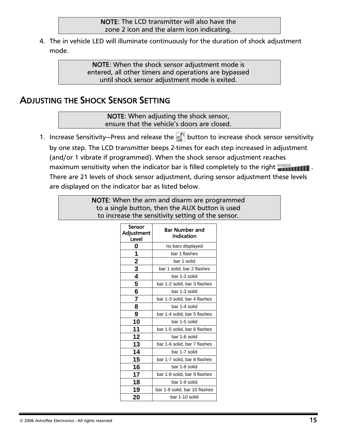<span id="page-17-0"></span>4. The in vehicle LED will illuminate continuously for the duration of shock adjustment mode.

> NOTE: When the shock sensor adjustment mode is entered, all other timers and operations are bypassed until shock sensor adjustment mode is exited.

#### ADJUSTING THE SHOCK SENSOR SETTING

NOTE: When adjusting the shock sensor, ensure that the vehicle's doors are closed.

1. Increase Sensitivity—Press and release the  $\|\cdot\|$  button to increase shock sensor sensitivity by one step. The LCD transmitter beeps 2-times for each step increased in adjustment (and/or 1 vibrate if programmed). When the shock sensor adjustment reaches maximum sensitivity when the indicator bar is filled completely to the right **constant in the sensor of the sensor** There are 21 levels of shock sensor adjustment, during sensor adjustment these levels are displayed on the indicator bar as listed below.

> NOTE: When the arm and disarm are programmed to a single button, then the AUX button is used to increase the sensitivity setting of the sensor.

| Sensor<br><b>Adjustment</b><br>Level | <b>Bar Number and</b><br>Indication |  |
|--------------------------------------|-------------------------------------|--|
| 0                                    | no bars displayed                   |  |
| 1                                    | bar 1 flashes                       |  |
| $\overline{\mathbf{c}}$              | bar 1 solid                         |  |
| 3                                    | bar 1 solid, bar 2 flashes          |  |
| 4                                    | bar 1-2 solid                       |  |
| 5                                    | bar 1-2 solid, bar 3 flashes        |  |
| 6                                    | bar 1-3 solid                       |  |
| 7                                    | bar 1-3 solid, bar 4 flashes        |  |
| 8                                    | bar 1-4 solid                       |  |
| 9                                    | bar 1-4 solid, bar 5 flashes        |  |
| 10                                   | bar 1-5 solid                       |  |
| 11                                   | bar 1-5 solid, bar 6 flashes        |  |
| 12                                   | bar 1-6 solid                       |  |
| 13                                   | bar 1-6 solid, bar 7 flashes        |  |
| 14                                   | bar 1-7 solid                       |  |
| 15                                   | bar 1-7 solid, bar 8 flashes        |  |
| 16                                   | bar 1-8 solid                       |  |
| 17                                   | bar 1-8 solid, bar 9 flashes        |  |
| 18                                   | bar 1-9 solid                       |  |
| 19                                   | bar 1-9 solid, bar 10 flashes       |  |
| 20                                   | bar 1-10 solid                      |  |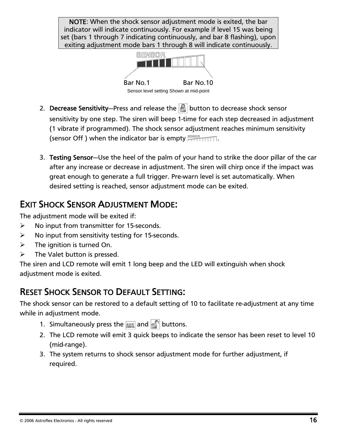<span id="page-18-0"></span>NOTE: When the shock sensor adjustment mode is exited, the bar indicator will indicate continuously. For example if level 15 was being set (bars 1 through 7 indicating continuously, and bar 8 flashing), upon exiting adjustment mode bars 1 through 8 will indicate continuously.



- 2. Decrease Sensitivity-Press and release the  $\vert \cdot \vert$  button to decrease shock sensor sensitivity by one step. The siren will beep 1-time for each step decreased in adjustment (1 vibrate if programmed). The shock sensor adjustment reaches minimum sensitivity (sensor Off ) when the indicator bar is empty  $\frac{1}{2}$
- 3. Testing Sensor—Use the heel of the palm of your hand to strike the door pillar of the car after any increase or decrease in adjustment. The siren will chirp once if the impact was great enough to generate a full trigger. Pre-warn level is set automatically. When desired setting is reached, sensor adjustment mode can be exited.

### EXIT SHOCK SENSOR ADJUSTMENT MODE:

The adjustment mode will be exited if:

- $\triangleright$  No input from transmitter for 15-seconds.
- $\triangleright$  No input from sensitivity testing for 15-seconds.
- $\triangleright$  The ignition is turned On.
- $\triangleright$  The Valet button is pressed.

The siren and LCD remote will emit 1 long beep and the LED will extinguish when shock adjustment mode is exited.

# RESET SHOCK SENSOR TO DEFAULT SETTING:

The shock sensor can be restored to a default setting of 10 to facilitate re-adjustment at any time while in adjustment mode.

- 1. Simultaneously press the  $\cos$  and  $\frac{1}{2}$  buttons.
- 2. The LCD remote will emit 3 quick beeps to indicate the sensor has been reset to level 10 (mid-range).
- 3. The system returns to shock sensor adjustment mode for further adjustment, if required.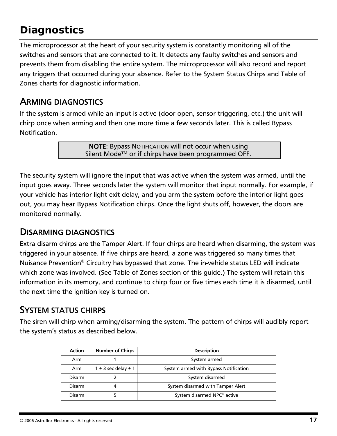# <span id="page-19-0"></span>*Diagnostics*

The microprocessor at the heart of your security system is constantly monitoring all of the switches and sensors that are connected to it. It detects any faulty switches and sensors and prevents them from disabling the entire system. The microprocessor will also record and report any triggers that occurred during your absence. Refer to the System Status Chirps and Table of Zones charts for diagnostic information.

#### ARMING DIAGNOSTICS

If the system is armed while an input is active (door open, sensor triggering, etc.) the unit will chirp once when arming and then one more time a few seconds later. This is called Bypass Notification.

> NOTE: Bypass NOTIFICATION will not occur when using Silent Mode™ or if chirps have been programmed OFF.

The security system will ignore the input that was active when the system was armed, until the input goes away. Three seconds later the system will monitor that input normally. For example, if your vehicle has interior light exit delay, and you arm the system before the interior light goes out, you may hear Bypass Notification chirps. Once the light shuts off, however, the doors are monitored normally.

#### DISARMING DIAGNOSTICS

Extra disarm chirps are the Tamper Alert. If four chirps are heard when disarming, the system was triggered in your absence. If five chirps are heard, a zone was triggered so many times that Nuisance Prevention® Circuitry has bypassed that zone. The in-vehicle status LED will indicate which zone was involved. (See Table of Zones section of this guide.) The system will retain this information in its memory, and continue to chirp four or five times each time it is disarmed, until the next time the ignition key is turned on.

#### SYSTEM STATUS CHIRPS

The siren will chirp when arming/disarming the system. The pattern of chirps will audibly report the system's status as described below.

| <b>Action</b> | <b>Number of Chirps</b> | <b>Description</b>                      |  |
|---------------|-------------------------|-----------------------------------------|--|
| Arm           |                         | System armed                            |  |
| Arm           | $1 + 3$ sec delay + 1   | System armed with Bypass Notification   |  |
| Disarm        |                         | System disarmed                         |  |
| Disarm        |                         | System disarmed with Tamper Alert       |  |
| Disarm        |                         | System disarmed NPC <sup>®</sup> active |  |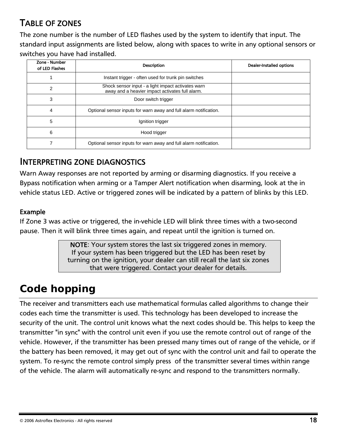#### <span id="page-20-0"></span>TABLE OF ZONES

The zone number is the number of LED flashes used by the system to identify that input. The standard input assignments are listed below, along with spaces to write in any optional sensors or switches you have had installed.

| Zone - Number<br>of LED Flashes | <b>Description</b>                                                                                    | <b>Dealer-Installed options</b> |
|---------------------------------|-------------------------------------------------------------------------------------------------------|---------------------------------|
|                                 | Instant trigger - often used for trunk pin switches                                                   |                                 |
| 2                               | Shock sensor input - a light impact activates warn<br>away and a heavier impact activates full alarm. |                                 |
| 3                               | Door switch trigger                                                                                   |                                 |
| 4                               | Optional sensor inputs for warn away and full alarm notification.                                     |                                 |
| 5                               | Ignition trigger                                                                                      |                                 |
| 6                               | Hood trigger                                                                                          |                                 |
|                                 | Optional sensor inputs for warn away and full alarm notification.                                     |                                 |

#### INTERPRETING ZONE DIAGNOSTICS

Warn Away responses are not reported by arming or disarming diagnostics. If you receive a Bypass notification when arming or a Tamper Alert notification when disarming, look at the in vehicle status LED. Active or triggered zones will be indicated by a pattern of blinks by this LED.

#### Example

If Zone 3 was active or triggered, the in-vehicle LED will blink three times with a two-second pause. Then it will blink three times again, and repeat until the ignition is turned on.

> NOTE: Your system stores the last six triggered zones in memory. If your system has been triggered but the LED has been reset by turning on the ignition, your dealer can still recall the last six zones that were triggered. Contact your dealer for details.

# *Code hopping*

The receiver and transmitters each use mathematical formulas called algorithms to change their codes each time the transmitter is used. This technology has been developed to increase the security of the unit. The control unit knows what the next codes should be. This helps to keep the transmitter "in sync" with the control unit even if you use the remote control out of range of the vehicle. However, if the transmitter has been pressed many times out of range of the vehicle, or if the battery has been removed, it may get out of sync with the control unit and fail to operate the system. To re-sync the remote control simply press of the transmitter several times within range of the vehicle. The alarm will automatically re-sync and respond to the transmitters normally.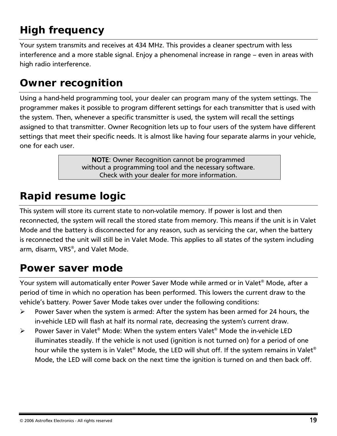# <span id="page-21-0"></span>*High frequency*

Your system transmits and receives at 434 MHz. This provides a cleaner spectrum with less interference and a more stable signal. Enjoy a phenomenal increase in range – even in areas with high radio interference.

# *Owner recognition*

Using a hand-held programming tool, your dealer can program many of the system settings. The programmer makes it possible to program different settings for each transmitter that is used with the system. Then, whenever a specific transmitter is used, the system will recall the settings assigned to that transmitter. Owner Recognition lets up to four users of the system have different settings that meet their specific needs. It is almost like having four separate alarms in your vehicle, one for each user.

> NOTE: Owner Recognition cannot be programmed without a programming tool and the necessary software. Check with your dealer for more information.

# *Rapid resume logic*

This system will store its current state to non-volatile memory. If power is lost and then reconnected, the system will recall the stored state from memory. This means if the unit is in Valet Mode and the battery is disconnected for any reason, such as servicing the car, when the battery is reconnected the unit will still be in Valet Mode. This applies to all states of the system including arm, disarm, VRS®, and Valet Mode.

# *Power saver mode*

Your system will automatically enter Power Saver Mode while armed or in Valet® Mode, after a period of time in which no operation has been performed. This lowers the current draw to the vehicle's battery. Power Saver Mode takes over under the following conditions:

- ¾ Power Saver when the system is armed: After the system has been armed for 24 hours, the in-vehicle LED will flash at half its normal rate, decreasing the system's current draw.
- $\triangleright$  Power Saver in Valet<sup>®</sup> Mode: When the system enters Valet<sup>®</sup> Mode the in-vehicle LED illuminates steadily. If the vehicle is not used (ignition is not turned on) for a period of one hour while the system is in Valet® Mode, the LED will shut off. If the system remains in Valet® Mode, the LED will come back on the next time the ignition is turned on and then back off.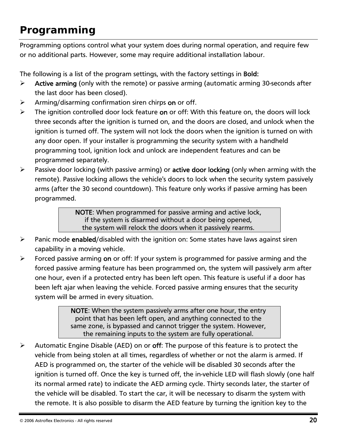# <span id="page-22-0"></span>*Programming*

Programming options control what your system does during normal operation, and require few or no additional parts. However, some may require additional installation labour.

The following is a list of the program settings, with the factory settings in Bold:

- $\triangleright$  Active arming (only with the remote) or passive arming (automatic arming 30-seconds after the last door has been closed).
- $\triangleright$  Arming/disarming confirmation siren chirps on or off.
- $\triangleright$  The ignition controlled door lock feature on or off: With this feature on, the doors will lock three seconds after the ignition is turned on, and the doors are closed, and unlock when the ignition is turned off. The system will not lock the doors when the ignition is turned on with any door open. If your installer is programming the security system with a handheld programming tool, ignition lock and unlock are independent features and can be programmed separately.
- $\triangleright$  Passive door locking (with passive arming) or active door locking (only when arming with the remote). Passive locking allows the vehicle's doors to lock when the security system passively arms (after the 30 second countdown). This feature only works if passive arming has been programmed.

NOTE: When programmed for passive arming and active lock, if the system is disarmed without a door being opened, the system will relock the doors when it passively rearms.

- **►** Panic mode enabled/disabled with the ignition on: Some states have laws against siren capability in a moving vehicle.
- $\triangleright$  Forced passive arming on or off: If your system is programmed for passive arming and the forced passive arming feature has been programmed on, the system will passively arm after one hour, even if a protected entry has been left open. This feature is useful if a door has been left ajar when leaving the vehicle. Forced passive arming ensures that the security system will be armed in every situation.

NOTE: When the system passively arms after one hour, the entry point that has been left open, and anything connected to the same zone, is bypassed and cannot trigger the system. However, the remaining inputs to the system are fully operational.

 $\triangleright$  Automatic Engine Disable (AED) on or off: The purpose of this feature is to protect the vehicle from being stolen at all times, regardless of whether or not the alarm is armed. If AED is programmed on, the starter of the vehicle will be disabled 30 seconds after the ignition is turned off. Once the key is turned off, the in-vehicle LED will flash slowly (one half its normal armed rate) to indicate the AED arming cycle. Thirty seconds later, the starter of the vehicle will be disabled. To start the car, it will be necessary to disarm the system with the remote. It is also possible to disarm the AED feature by turning the ignition key to the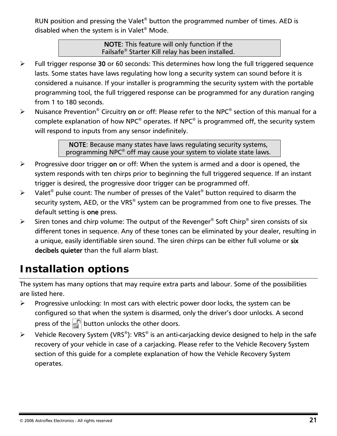<span id="page-23-0"></span>RUN position and pressing the Valet® button the programmed number of times. AED is disabled when the system is in Valet® Mode.

> NOTE: This feature will only function if the Failsafe® Starter Kill relay has been installed.

- $\triangleright$  Full trigger response 30 or 60 seconds: This determines how long the full triggered sequence lasts. Some states have laws regulating how long a security system can sound before it is considered a nuisance. If your installer is programming the security system with the portable programming tool, the full triggered response can be programmed for any duration ranging from 1 to 180 seconds.
- Extemdance Prevention<sup>®</sup> Circuitry on or off: Please refer to the NPC<sup>®</sup> section of this manual for a complete explanation of how NPC<sup>®</sup> operates. If NPC<sup>®</sup> is programmed off, the security system will respond to inputs from any sensor indefinitely.

NOTE: Because many states have laws regulating security systems, programming NPC® off may cause your system to violate state laws.

- $\triangleright$  Progressive door trigger on or off: When the system is armed and a door is opened, the system responds with ten chirps prior to beginning the full triggered sequence. If an instant trigger is desired, the progressive door trigger can be programmed off.
- $\triangleright$  Valet<sup>®</sup> pulse count: The number of presses of the Valet<sup>®</sup> button required to disarm the security system, AED, or the VRS® system can be programmed from one to five presses. The default setting is one press.
- $\triangleright$  Siren tones and chirp volume: The output of the Revenger<sup>®</sup> Soft Chirp<sup>®</sup> siren consists of six different tones in sequence. Any of these tones can be eliminated by your dealer, resulting in a unique, easily identifiable siren sound. The siren chirps can be either full volume or six decibels quieter than the full alarm blast.

# *Installation options*

The system has many options that may require extra parts and labour. Some of the possibilities are listed here.

- $\triangleright$  Progressive unlocking: In most cars with electric power door locks, the system can be configured so that when the system is disarmed, only the driver's door unlocks. A second press of the  $\mathbb{F}$  button unlocks the other doors.
- $\triangleright$  Vehicle Recovery System (VRS<sup>®</sup>): VRS<sup>®</sup> is an anti-carjacking device designed to help in the safe recovery of your vehicle in case of a carjacking. Please refer to the Vehicle Recovery System section of this guide for a complete explanation of how the Vehicle Recovery System operates.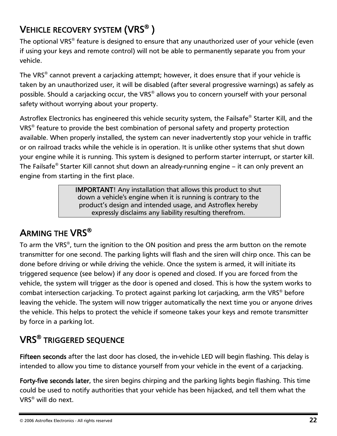# <span id="page-24-0"></span>VEHICLE RECOVERY SYSTEM (VRS® )

The optional VRS® feature is designed to ensure that any unauthorized user of your vehicle (even if using your keys and remote control) will not be able to permanently separate you from your vehicle.

The VRS® cannot prevent a carjacking attempt; however, it does ensure that if your vehicle is taken by an unauthorized user, it will be disabled (after several progressive warnings) as safely as possible. Should a carjacking occur, the VRS® allows you to concern yourself with your personal safety without worrying about your property.

Astroflex Electronics has engineered this vehicle security system, the Failsafe® Starter Kill, and the VRS® feature to provide the best combination of personal safety and property protection available. When properly installed, the system can never inadvertently stop your vehicle in traffic or on railroad tracks while the vehicle is in operation. It is unlike other systems that shut down your engine while it is running. This system is designed to perform starter interrupt, or starter kill. The Failsafe® Starter Kill cannot shut down an already-running engine – it can only prevent an engine from starting in the first place.

> IMPORTANT! Any installation that allows this product to shut down a vehicle's engine when it is running is contrary to the product's design and intended usage, and Astroflex hereby expressly disclaims any liability resulting therefrom.

#### ARMING THE VRS®

To arm the VRS®, turn the ignition to the ON position and press the arm button on the remote transmitter for one second. The parking lights will flash and the siren will chirp once. This can be done before driving or while driving the vehicle. Once the system is armed, it will initiate its triggered sequence (see below) if any door is opened and closed. If you are forced from the vehicle, the system will trigger as the door is opened and closed. This is how the system works to combat intersection carjacking. To protect against parking lot carjacking, arm the VRS® before leaving the vehicle. The system will now trigger automatically the next time you or anyone drives the vehicle. This helps to protect the vehicle if someone takes your keys and remote transmitter by force in a parking lot.

# VRS® TRIGGERED SEQUENCE

Fifteen seconds after the last door has closed, the in-vehicle LED will begin flashing. This delay is intended to allow you time to distance yourself from your vehicle in the event of a carjacking.

Forty-five seconds later, the siren begins chirping and the parking lights begin flashing. This time could be used to notify authorities that your vehicle has been hijacked, and tell them what the VRS® will do next.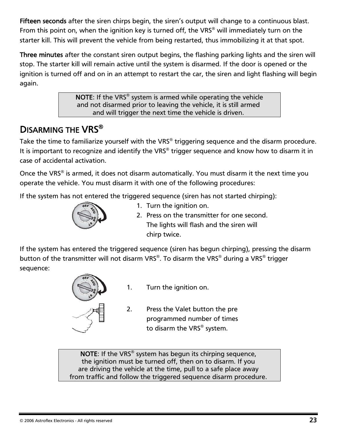<span id="page-25-0"></span>Fifteen seconds after the siren chirps begin, the siren's output will change to a continuous blast. From this point on, when the ignition key is turned off, the VRS<sup>®</sup> will immediately turn on the starter kill. This will prevent the vehicle from being restarted, thus immobilizing it at that spot.

Three minutes after the constant siren output begins, the flashing parking lights and the siren will stop. The starter kill will remain active until the system is disarmed. If the door is opened or the ignition is turned off and on in an attempt to restart the car, the siren and light flashing will begin again.

> NOTE: If the VRS® system is armed while operating the vehicle and not disarmed prior to leaving the vehicle, it is still armed and will trigger the next time the vehicle is driven.

### DISARMING THE VRS<sup>®</sup>

Take the time to familiarize yourself with the VRS® triggering sequence and the disarm procedure. It is important to recognize and identify the VRS® trigger sequence and know how to disarm it in case of accidental activation.

Once the VRS® is armed, it does not disarm automatically. You must disarm it the next time you operate the vehicle. You must disarm it with one of the following procedures:

If the system has not entered the triggered sequence (siren has not started chirping):



- 1. Turn the ignition on.
- 2. Press on the transmitter for one second. The lights will flash and the siren will chirp twice.

If the system has entered the triggered sequence (siren has begun chirping), pressing the disarm button of the transmitter will not disarm VRS®. To disarm the VRS® during a VRS® trigger sequence:



- 1. Turn the ignition on.
- 2. Press the Valet button the pre programmed number of times to disarm the VRS® system.

NOTE: If the VRS® system has begun its chirping sequence, the ignition must be turned off, then on to disarm. If you are driving the vehicle at the time, pull to a safe place away from traffic and follow the triggered sequence disarm procedure.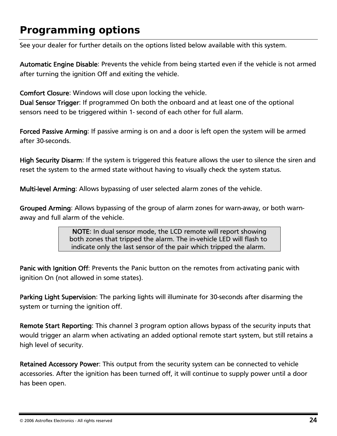# <span id="page-26-0"></span>*Programming options*

See your dealer for further details on the options listed below available with this system.

Automatic Engine Disable: Prevents the vehicle from being started even if the vehicle is not armed after turning the ignition Off and exiting the vehicle.

Comfort Closure: Windows will close upon locking the vehicle.

Dual Sensor Trigger: If programmed On both the onboard and at least one of the optional sensors need to be triggered within 1- second of each other for full alarm.

Forced Passive Arming: If passive arming is on and a door is left open the system will be armed after 30-seconds.

High Security Disarm: If the system is triggered this feature allows the user to silence the siren and reset the system to the armed state without having to visually check the system status.

Multi-level Arming: Allows bypassing of user selected alarm zones of the vehicle.

Grouped Arming: Allows bypassing of the group of alarm zones for warn-away, or both warnaway and full alarm of the vehicle.

> NOTE: In dual sensor mode, the LCD remote will report showing both zones that tripped the alarm. The in-vehicle LED will flash to indicate only the last sensor of the pair which tripped the alarm.

Panic with Ignition Off: Prevents the Panic button on the remotes from activating panic with ignition On (not allowed in some states).

Parking Light Supervision: The parking lights will illuminate for 30-seconds after disarming the system or turning the ignition off.

Remote Start Reporting: This channel 3 program option allows bypass of the security inputs that would trigger an alarm when activating an added optional remote start system, but still retains a high level of security.

Retained Accessory Power: This output from the security system can be connected to vehicle accessories. After the ignition has been turned off, it will continue to supply power until a door has been open.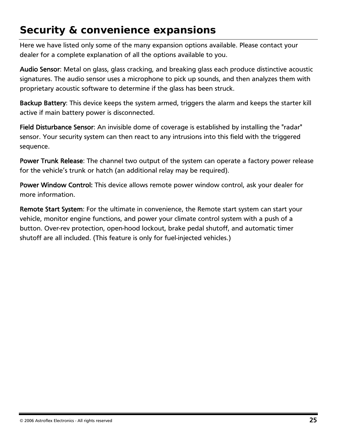# <span id="page-27-0"></span>*Security & convenience expansions*

Here we have listed only some of the many expansion options available. Please contact your dealer for a complete explanation of all the options available to you.

Audio Sensor: Metal on glass, glass cracking, and breaking glass each produce distinctive acoustic signatures. The audio sensor uses a microphone to pick up sounds, and then analyzes them with proprietary acoustic software to determine if the glass has been struck.

Backup Battery: This device keeps the system armed, triggers the alarm and keeps the starter kill active if main battery power is disconnected.

Field Disturbance Sensor: An invisible dome of coverage is established by installing the "radar" sensor. Your security system can then react to any intrusions into this field with the triggered sequence.

Power Trunk Release: The channel two output of the system can operate a factory power release for the vehicle's trunk or hatch (an additional relay may be required).

Power Window Control: This device allows remote power window control, ask your dealer for more information.

Remote Start System: For the ultimate in convenience, the Remote start system can start your vehicle, monitor engine functions, and power your climate control system with a push of a button. Over-rev protection, open-hood lockout, brake pedal shutoff, and automatic timer shutoff are all included. (This feature is only for fuel-injected vehicles.)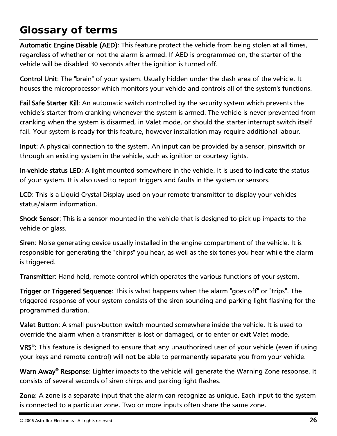# <span id="page-28-0"></span>*Glossary of terms*

Automatic Engine Disable (AED): This feature protect the vehicle from being stolen at all times, regardless of whether or not the alarm is armed. If AED is programmed on, the starter of the vehicle will be disabled 30 seconds after the ignition is turned off.

Control Unit: The "brain" of your system. Usually hidden under the dash area of the vehicle. It houses the microprocessor which monitors your vehicle and controls all of the system's functions.

Fail Safe Starter Kill: An automatic switch controlled by the security system which prevents the vehicle's starter from cranking whenever the system is armed. The vehicle is never prevented from cranking when the system is disarmed, in Valet mode, or should the starter interrupt switch itself fail. Your system is ready for this feature, however installation may require additional labour.

Input: A physical connection to the system. An input can be provided by a sensor, pinswitch or through an existing system in the vehicle, such as ignition or courtesy lights.

In-vehicle status LED: A light mounted somewhere in the vehicle. It is used to indicate the status of your system. It is also used to report triggers and faults in the system or sensors.

LCD: This is a Liquid Crystal Display used on your remote transmitter to display your vehicles status/alarm information.

Shock Sensor: This is a sensor mounted in the vehicle that is designed to pick up impacts to the vehicle or glass.

Siren: Noise generating device usually installed in the engine compartment of the vehicle. It is responsible for generating the "chirps" you hear, as well as the six tones you hear while the alarm is triggered.

Transmitter: Hand-held, remote control which operates the various functions of your system.

Trigger or Triggered Sequence: This is what happens when the alarm "goes off" or "trips". The triggered response of your system consists of the siren sounding and parking light flashing for the programmed duration.

Valet Button: A small push-button switch mounted somewhere inside the vehicle. It is used to override the alarm when a transmitter is lost or damaged, or to enter or exit Valet mode.

VRS®: This feature is designed to ensure that any unauthorized user of your vehicle (even if using your keys and remote control) will not be able to permanently separate you from your vehicle.

Warn Away<sup>®</sup> Response: Lighter impacts to the vehicle will generate the Warning Zone response. It consists of several seconds of siren chirps and parking light flashes.

Zone: A zone is a separate input that the alarm can recognize as unique. Each input to the system is connected to a particular zone. Two or more inputs often share the same zone.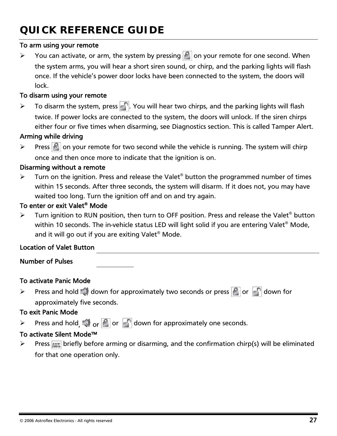# <span id="page-29-0"></span>*QUICK REFERENCE GUIDE*

#### To arm using your remote

 $\triangleright$  You can activate, or arm, the system by pressing  $\blacksquare$  on your remote for one second. When the system arms, you will hear a short siren sound, or chirp, and the parking lights will flash once. If the vehicle's power door locks have been connected to the system, the doors will lock.

#### To disarm using your remote

 $\triangleright$  To disarm the system, press  $\cdot$  You will hear two chirps, and the parking lights will flash twice. If power locks are connected to the system, the doors will unlock. If the siren chirps either four or five times when disarming, see Diagnostics section. This is called Tamper Alert.

#### Arming while driving

 $\triangleright$  Press  $\lvert \cdot \rvert$  on your remote for two second while the vehicle is running. The system will chirp once and then once more to indicate that the ignition is on.

#### Disarming without a remote

 $\triangleright$  Turn on the ignition. Press and release the Valet<sup>®</sup> button the programmed number of times within 15 seconds. After three seconds, the system will disarm. If it does not, you may have waited too long. Turn the ignition off and on and try again.

#### To enter or exit Valet® Mode

Turn ignition to RUN position, then turn to OFF position. Press and release the Valet<sup>®</sup> button within 10 seconds. The in-vehicle status LED will light solid if you are entering Valet® Mode, and it will go out if you are exiting Valet<sup>®</sup> Mode.

#### Location of Valet Button

Number of Pulses

#### To activate Panic Mode

 $\triangleright$  Press and hold  $\Box$  down for approximately two seconds or press  $\Box$  or  $\Box$  down for approximately five seconds.

#### To exit Panic Mode

 $\triangleright$  Press and hold,  $\Box$  or  $\Box$  or  $\Box$  down for approximately one seconds.

#### To activate Silent Mode™

 $\triangleright$  Press **Max** briefly before arming or disarming, and the confirmation chirp(s) will be eliminated for that one operation only.